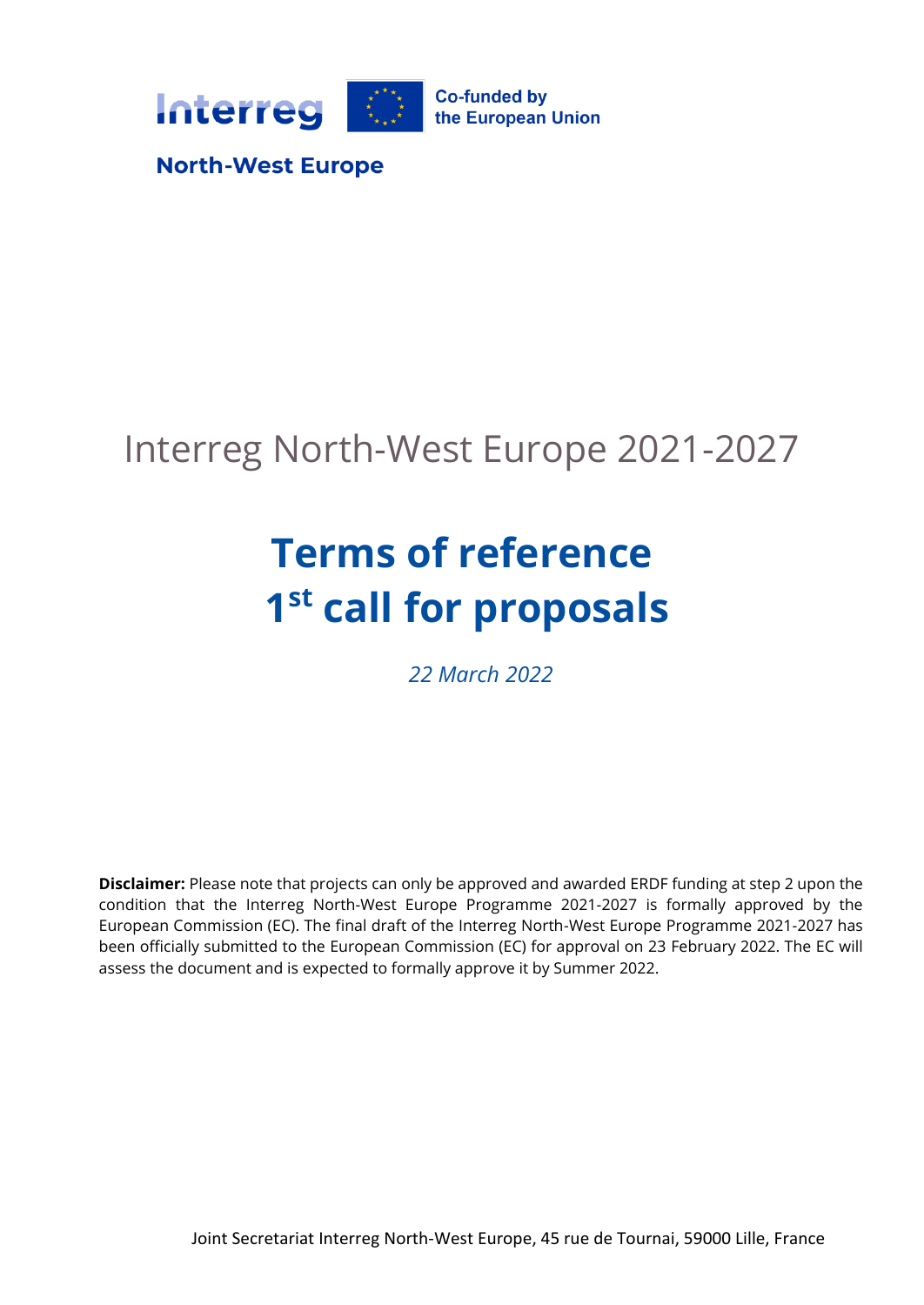

# Interreg North-West Europe 2021-2027

# **Terms of reference 1 st call for proposals**

*22 March 2022*

**Disclaimer:** Please note that projects can only be approved and awarded ERDF funding at step 2 upon the condition that the Interreg North-West Europe Programme 2021-2027 is formally approved by the European Commission (EC). The final draft of the Interreg North-West Europe Programme 2021-2027 has been officially submitted to the European Commission (EC) for approval on 23 February 2022. The EC will assess the document and is expected to formally approve it by Summer 2022.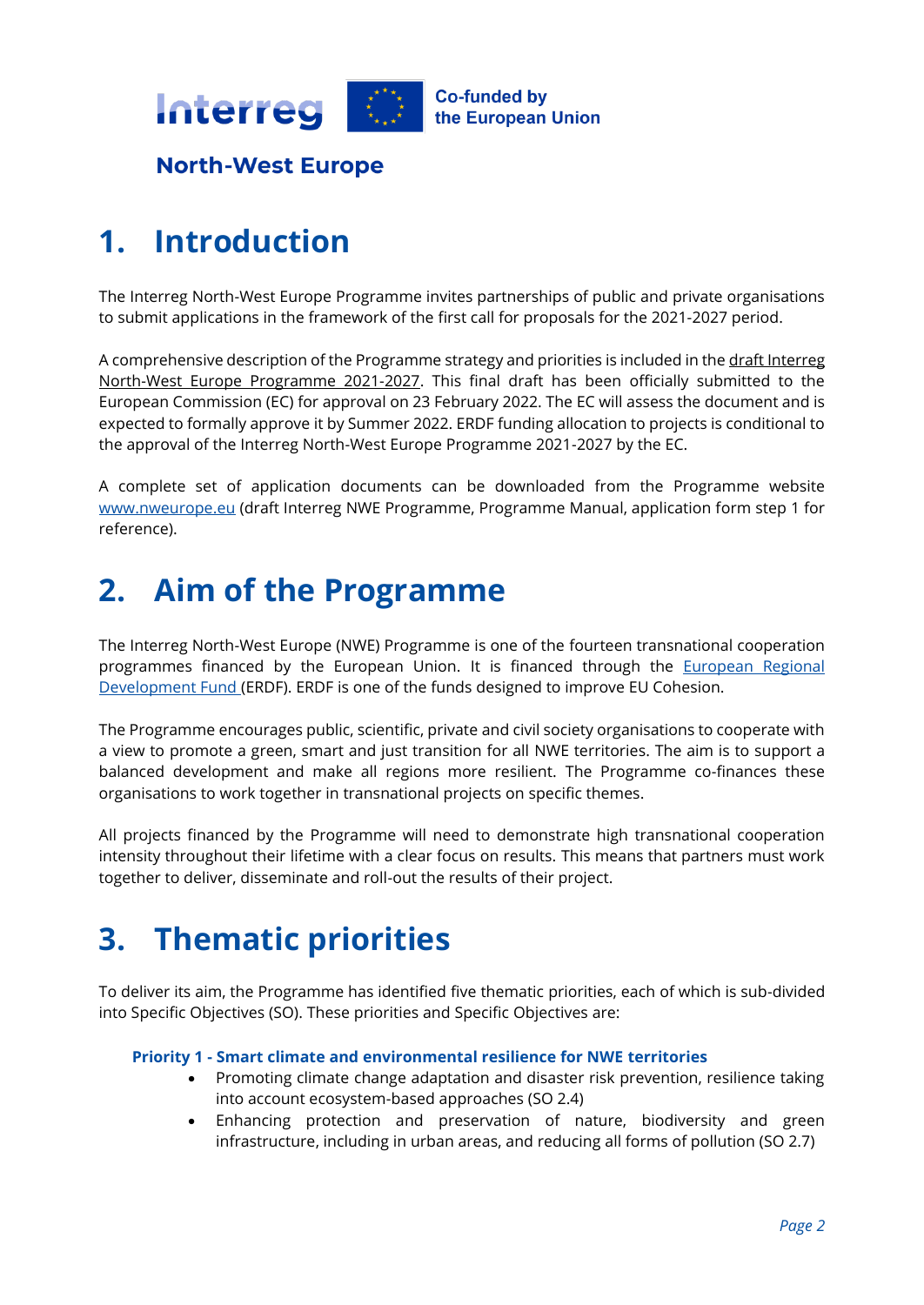

### **1. Introduction**

The Interreg North-West Europe Programme invites partnerships of public and private organisations to submit applications in the framework of the first call for proposals for the 2021-2027 period.

A comprehensive description of the Programme strategy and priorities is included in the draft Interreg [North-West Europe Programme 2021-2027.](https://www.nweurope.eu/media/16769/nwe-ip_version-february-2022.pdf) This final draft has been officially submitted to the European Commission (EC) for approval on 23 February 2022. The EC will assess the document and is expected to formally approve it by Summer 2022. ERDF funding allocation to projects is conditional to the approval of the Interreg North-West Europe Programme 2021-2027 by the EC.

A complete set of application documents can be downloaded from the Programme website [www.nweurope.eu](http://www.nweurope.eu/) (draft Interreg NWE Programme, Programme Manual, application form step 1 for reference).

# **2. Aim of the Programme**

The Interreg North-West Europe (NWE) Programme is one of the fourteen transnational cooperation programmes financed by the European Union. It is financed through the **European Regional** [Development Fund](https://eur-lex.europa.eu/legal-content/EN/TXT/?uri=CELEX%3A32021R1059&qid=1646043256660) (ERDF). ERDF is one of the funds designed to improve EU Cohesion.

The Programme encourages public, scientific, private and civil society organisations to cooperate with a view to promote a green, smart and just transition for all NWE territories. The aim is to support a balanced development and make all regions more resilient. The Programme co-finances these organisations to work together in transnational projects on specific themes.

All projects financed by the Programme will need to demonstrate high transnational cooperation intensity throughout their lifetime with a clear focus on results. This means that partners must work together to deliver, disseminate and roll-out the results of their project.

### **3. Thematic priorities**

To deliver its aim, the Programme has identified five thematic priorities, each of which is sub-divided into Specific Objectives (SO). These priorities and Specific Objectives are:

#### **Priority 1 - Smart climate and environmental resilience for NWE territories**

- Promoting climate change adaptation and disaster risk prevention, resilience taking into account ecosystem-based approaches (SO 2.4)
- Enhancing protection and preservation of nature, biodiversity and green infrastructure, including in urban areas, and reducing all forms of pollution (SO 2.7)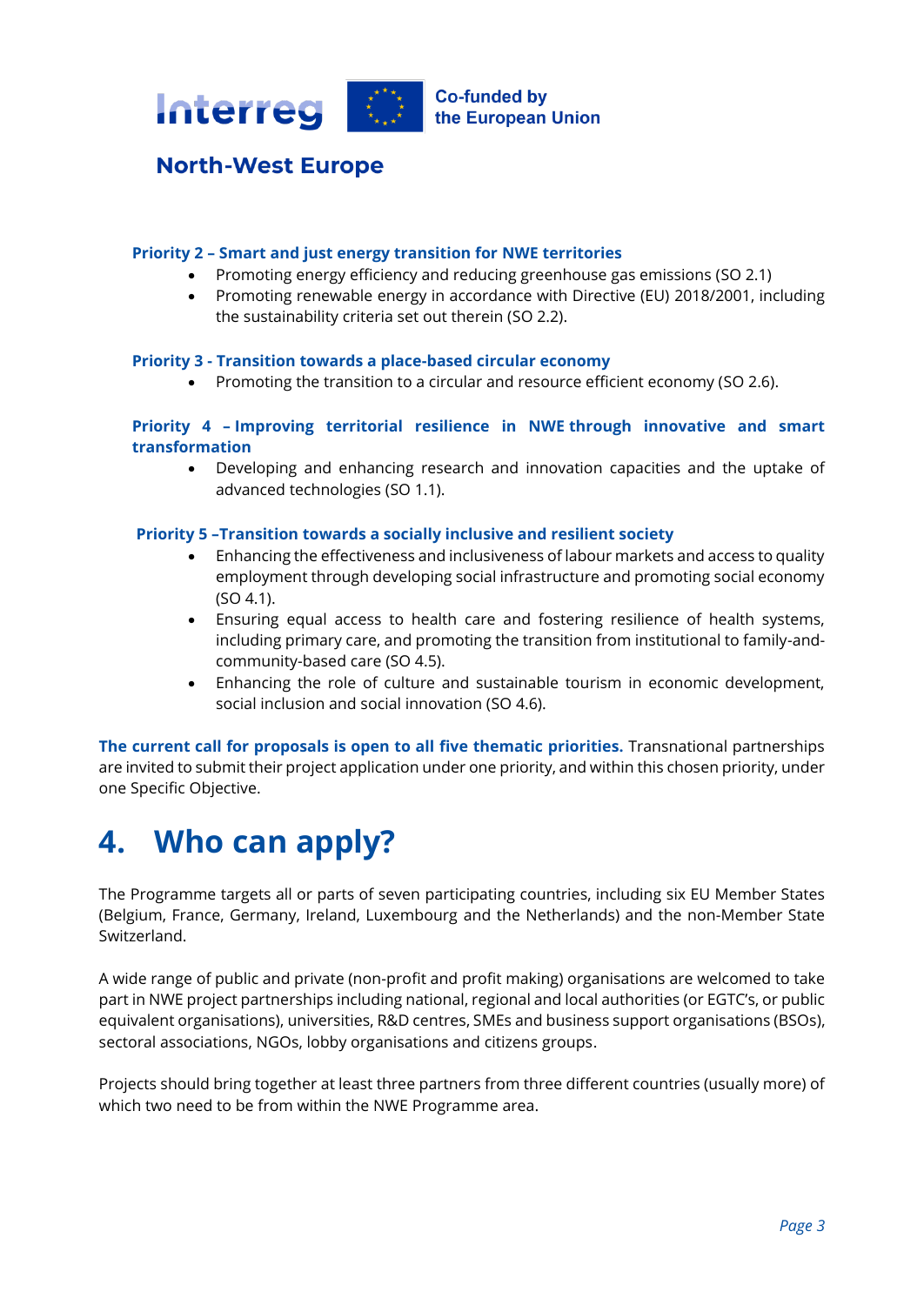

#### **Priority 2 – Smart and just energy transition for NWE territories**

- Promoting energy efficiency and reducing greenhouse gas emissions (SO 2.1)
- Promoting renewable energy in accordance with Directive (EU) 2018/2001, including the sustainability criteria set out therein (SO 2.2).

#### **Priority 3 - Transition towards a place-based circular economy**

• Promoting the transition to a circular and resource efficient economy (SO 2.6).

#### **Priority 4 – Improving territorial resilience in NWE through innovative and smart transformation**

• Developing and enhancing research and innovation capacities and the uptake of advanced technologies (SO 1.1).

#### **Priority 5 –Transition towards a socially inclusive and resilient society**

- Enhancing the effectiveness and inclusiveness of labour markets and access to quality employment through developing social infrastructure and promoting social economy (SO 4.1).
- Ensuring equal access to health care and fostering resilience of health systems, including primary care, and promoting the transition from institutional to family-andcommunity-based care (SO 4.5).
- Enhancing the role of culture and sustainable tourism in economic development, social inclusion and social innovation (SO 4.6).

**The current call for proposals is open to all five thematic priorities.** Transnational partnerships are invited to submit their project application under one priority, and within this chosen priority, under one Specific Objective.

# **4. Who can apply?**

The Programme targets all or parts of seven participating countries, including six EU Member States (Belgium, France, Germany, Ireland, Luxembourg and the Netherlands) and the non-Member State Switzerland.

A wide range of public and private (non-profit and profit making) organisations are welcomed to take part in NWE project partnerships including national, regional and local authorities (or EGTC's, or public equivalent organisations), universities, R&D centres, SMEs and business support organisations (BSOs), sectoral associations, NGOs, lobby organisations and citizens groups.

Projects should bring together at least three partners from three different countries (usually more) of which two need to be from within the NWE Programme area.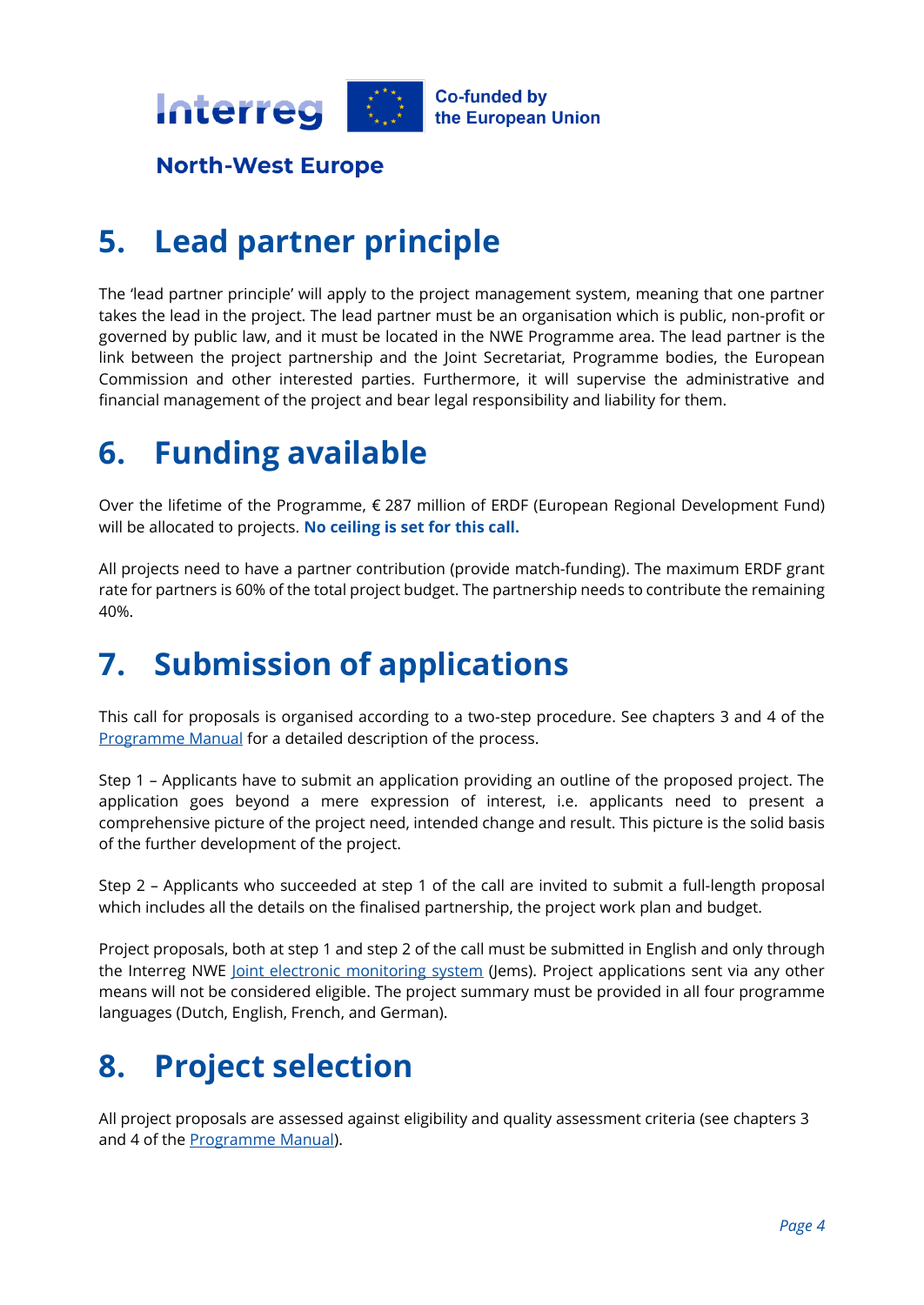

# **5. Lead partner principle**

The 'lead partner principle' will apply to the project management system, meaning that one partner takes the lead in the project. The lead partner must be an organisation which is public, non-profit or governed by public law, and it must be located in the NWE Programme area. The lead partner is the link between the project partnership and the Joint Secretariat, Programme bodies, the European Commission and other interested parties. Furthermore, it will supervise the administrative and financial management of the project and bear legal responsibility and liability for them.

### **6. Funding available**

Over the lifetime of the Programme, € 287 million of ERDF (European Regional Development Fund) will be allocated to projects. **No ceiling is set for this call.**

All projects need to have a partner contribution (provide match-funding). The maximum ERDF grant rate for partners is 60% of the total project budget. The partnership needs to contribute the remaining 40%.

# **7. Submission of applications**

This call for proposals is organised according to a two-step procedure. See chapters 3 and 4 of the [Programme Manual](https://www.nweurope.eu/media/17056/nwe_pm_v1_final.pdf) for a detailed description of the process.

Step 1 – Applicants have to submit an application providing an outline of the proposed project. The application goes beyond a mere expression of interest, i.e. applicants need to present a comprehensive picture of the project need, intended change and result. This picture is the solid basis of the further development of the project.

Step 2 – Applicants who succeeded at step 1 of the call are invited to submit a full-length proposal which includes all the details on the finalised partnership, the project work plan and budget.

Project proposals, both at step 1 and step 2 of the call must be submitted in English and only through the Interreg NWE [Joint electronic monitoring system](https://jems.nweurope.eu/) (Jems). Project applications sent via any other means will not be considered eligible. The project summary must be provided in all four programme languages (Dutch, English, French, and German).

# **8. Project selection**

All project proposals are assessed against eligibility and quality assessment criteria (see chapters 3 and 4 of the [Programme Manual\)](https://www.nweurope.eu/media/17056/nwe_pm_v1_final.pdf).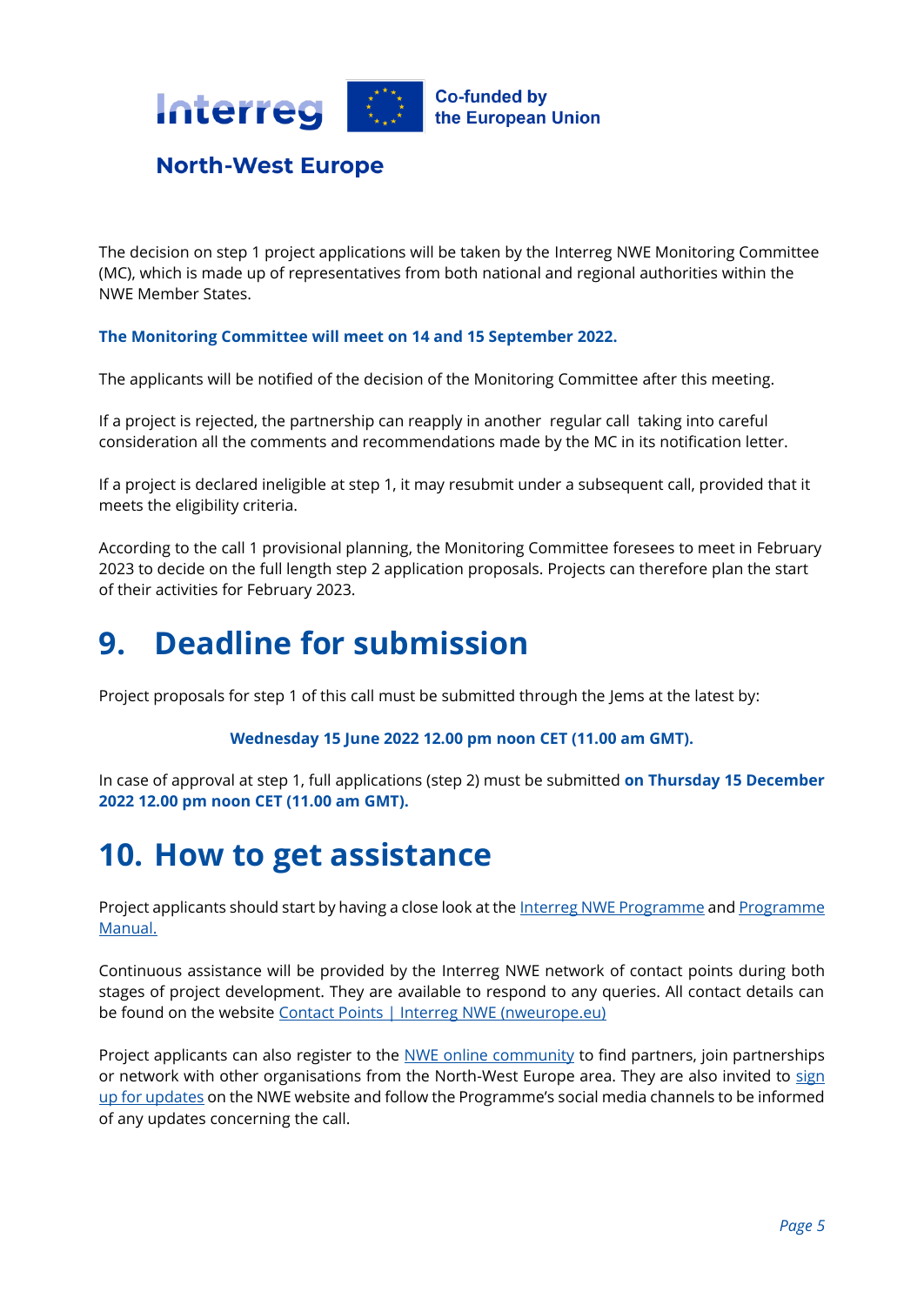

The decision on step 1 project applications will be taken by the Interreg NWE Monitoring Committee (MC), which is made up of representatives from both national and regional authorities within the NWE Member States.

#### **The Monitoring Committee will meet on 14 and 15 September 2022.**

The applicants will be notified of the decision of the Monitoring Committee after this meeting.

If a project is rejected, the partnership can reapply in another regular call taking into careful consideration all the comments and recommendations made by the MC in its notification letter.

If a project is declared ineligible at step 1, it may resubmit under a subsequent call, provided that it meets the eligibility criteria.

According to the call 1 provisional planning, the Monitoring Committee foresees to meet in February 2023 to decide on the full length step 2 application proposals. Projects can therefore plan the start of their activities for February 2023.

### **9. Deadline for submission**

Project proposals for step 1 of this call must be submitted through the Jems at the latest by:

#### **Wednesday 15 June 2022 12.00 pm noon CET (11.00 am GMT).**

In case of approval at step 1, full applications (step 2) must be submitted **on Thursday 15 December 2022 12.00 pm noon CET (11.00 am GMT).**

### **10. How to get assistance**

Project applicants should start by having a close look at the [Interreg NWE Programme](https://www.nweurope.eu/media/16769/nwe-ip_version-february-2022.pdf) and Programme [Manual.](https://www.nweurope.eu/media/17056/nwe_pm_v1_final.pdf)

Continuous assistance will be provided by the Interreg NWE network of contact points during both stages of project development. They are available to respond to any queries. All contact details can be found on the website [Contact Points | Interreg NWE \(nweurope.eu\)](https://www.nweurope.eu/contact-us/contact-points/)

Project applicants can also register to the [NWE online community](https://community.nweurope.eu/) to find partners, join partnerships or network with other organisations from the North-West Europe area. They are also invited to sign [up for updates](https://www.nweurope.eu/news-events/sign-up-for-updates/) on the NWE website and follow the Programme's social media channels to be informed of any updates concerning the call.